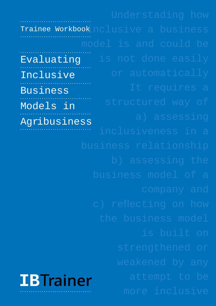**IB**T**rainer** Trainee Workbook nclusive a business Evaluating Inclusive Business Models in Agribusiness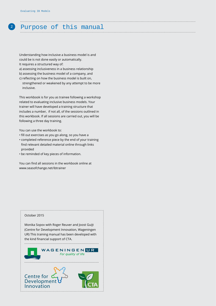## **<sup>2</sup>** Purpose of this manual

Understanding how inclusive a business model is and could be is not done easily or automatically.

- It requires a structured way of:
- a) assessing inclusiveness in a business relationship
- b) assessing the business model of a company, and
- c) reflecting on how the business model is built on, strengthened or weakened by any attempt to be more inclusive.

This workbook is for you as trainee following a workshop related to evaluating inclusive business models. Your trainer will have developed a training structure that includes a number, if not all, of the sessions outlined in this workbook. If all sessions are carried out, you will be following a three day training.

You can use the workbook to:

- fill out exercises as you go along, so you have a
- completed reference piece by the end of your training find relevant detailed material online through links provided
- be reminded of key pieces of information.

You can find all sessions in the workbook online at <www.seasofchange.net/ibtrainer>

#### October 2015

**Innovation**

Monika Sopov with Roger Reuver and Joost Guijt (Centre for Development Innovation, Wageningen UR) This training manual has been developed with the kind financial support of CTA.

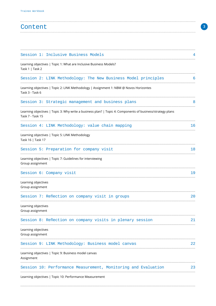| Content |  |
|---------|--|
|         |  |

| Session 1: Inclusive Business Models                                                                                           |    |
|--------------------------------------------------------------------------------------------------------------------------------|----|
| Learning objectives   Topic 1: What are Inclusive Business Models?<br>Task 1   Task 2                                          |    |
| Session 2: LINK Methodology: The New Business Model principles                                                                 | 6  |
| Learning objectives   Topic 2: LINK Methodology   Assignment 1: NBM @ Novos Horizontes<br>Task 3 - Task 6                      |    |
| Session 3: Strategic management and business plans                                                                             |    |
| Learning objectives   Topic 3: Why write a business plan?   Topic 4: Components of business/strategy plans<br>Task 7 - Task 15 |    |
| Session 4: LINK Methodology: value chain mapping                                                                               | 16 |
| Learning objectives   Topic 5: LINK Methodology<br>Task 16   Task 17                                                           |    |
| Session 5: Preparation for company visit                                                                                       | 18 |
| Learning objectives   Topic 7: Guidelines for interviewing<br>Group assignment                                                 |    |
| Session 6: Company visit                                                                                                       | 19 |
| Learning objectives<br>Group assignment                                                                                        |    |
| Session 7: Reflection on company visit in groups                                                                               | 20 |
| Learning objectives<br>Group assignment                                                                                        |    |
| Session 8: Reflection on company visits in plenary session                                                                     | 21 |
| Learning objectives<br>Group assignment                                                                                        |    |
| Session 9: LINK Methodology: Business model canvas                                                                             | 22 |
| Learning objectives   Topic 9: Business model canvas<br>Assignment                                                             |    |
| Session 10: Performance Measurement, Monitoring and Evaluation<br>Learning objectives   Topic 10: Performance Measurement      | 23 |
|                                                                                                                                |    |

 $\overline{3}$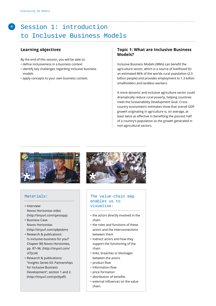## **<sup>4</sup>** Session 1: introduction to Inclusive Business Models

#### **Learning objectives**

By the end of this session, you will be able to:

- define inclusiveness in a business context
- identify key challenges regarding inclusive business models
- apply concepts to your own business context.

#### **Topic 1: What are Inclusive Business Models?**

Inclusive Business Models (IBMs) can benefit the agriculture sector, which is a source of livelihood for an estimated 86% of the worlds rural population (2.5 billion people) and provides employment to 1.3 billion smallholders and landless workers.

A more dynamic and inclusive agriculture sector could dramatically reduce rural poverty, helping countries meet the Sustainability Development Goal. Crosscountry econometric estimates show that overall GDP growth originating in agriculture is, on average, at least twice as effective in benefiting the poorest half of a country's population as the growth generated in non-agricultural sectors.



#### Materials:

• Interview: [Novos Horizontas video](http://tinyurl.com/qansxpp) 

............................................

- [\(http://tinyurl.com/qansxpp\)](http://tinyurl.com/qansxpp) [• Business Case:](http://tinyurl.com/q4ptdzm)  [Novos Horizontas](http://tinyurl.com/q4ptdzm)
- [\(http://tinyurl.com/q4ptdzm\)](http://tinyurl.com/q4ptdzm) • [Research & publications:](http://tinyurl.com/ol7jcz4)  ['Is inclusive business for you?'](http://tinyurl.com/ol7jcz4)
- [Chapter B8 Novos Horizontes,](http://tinyurl.com/ol7jcz4)  [pp. 87–96. \(http://tinyurl.com/](http://tinyurl.com/ol7jcz4) [ol7jcz4\)](http://tinyurl.com/ol7jcz4)
- [Research & publications:](http://tinyurl.com/po9yafl)  ["Insights Series 03: Partnerships](http://tinyurl.com/po9yafl)  [for Inclusive Business](http://tinyurl.com/po9yafl)  [Development", section 1 and 2.](http://tinyurl.com/po9yafl) [\(http://tinyurl.com/po9yafl\)](http://tinyurl.com/po9yafl)



#### The value-chain map enables us to visualise:

- ............................................
- the actors directly involved in the chain
- the roles and functions of these actors and the interconnections between them
- indirect actors and how they support the functioning of the chain
- links, breaches or blockages between the actors
- product flow
- information flow
- price formation
- distribution of benefits
- external influences on the value

chain.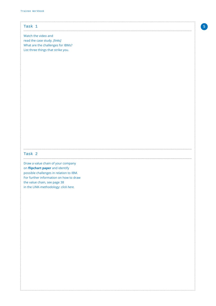| Task 1                                  |  |
|-----------------------------------------|--|
|                                         |  |
|                                         |  |
| Watch the video and                     |  |
|                                         |  |
| read the case study. [links]            |  |
| What are the challenges for IBMs?       |  |
|                                         |  |
| List three things that strike you.      |  |
|                                         |  |
|                                         |  |
|                                         |  |
|                                         |  |
|                                         |  |
|                                         |  |
|                                         |  |
|                                         |  |
|                                         |  |
|                                         |  |
|                                         |  |
|                                         |  |
|                                         |  |
|                                         |  |
|                                         |  |
|                                         |  |
|                                         |  |
|                                         |  |
|                                         |  |
|                                         |  |
|                                         |  |
|                                         |  |
|                                         |  |
|                                         |  |
|                                         |  |
|                                         |  |
|                                         |  |
|                                         |  |
|                                         |  |
| Task 2                                  |  |
|                                         |  |
|                                         |  |
|                                         |  |
| Draw a value chain of your company      |  |
|                                         |  |
| on <i>flipchart</i> paper and identify  |  |
| possible challenges in relation to IBM. |  |
| For further information on how to draw  |  |
|                                         |  |
| the value chain, see page 38            |  |
| in the LINK-methodology: click here.    |  |
|                                         |  |
|                                         |  |
|                                         |  |
|                                         |  |
|                                         |  |
|                                         |  |
|                                         |  |
|                                         |  |
|                                         |  |
|                                         |  |
|                                         |  |
|                                         |  |
|                                         |  |
|                                         |  |
|                                         |  |
|                                         |  |
|                                         |  |
|                                         |  |
|                                         |  |
|                                         |  |
|                                         |  |
|                                         |  |
|                                         |  |
|                                         |  |
|                                         |  |
|                                         |  |
|                                         |  |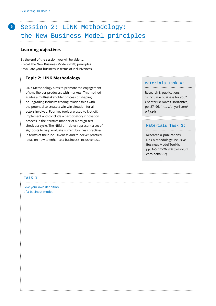## Session 2: LINK Methodology: the New Business Model principles

....................................................................................................................................................

#### **Learning objectives**

By the end of the session you will be able to:

- recall the New Business Model (NBM) principles
- evaluate your business in terms of inclusiveness.

#### **Topic 2: LINK Methodology**

 LINK Methodology aims to promote the engagement of smallholder producers with markets. This method guides a multi-stakeholder process of shaping or upgrading inclusive trading relationships with the potential to create a win-win situation for all actors involved. Four key tools are used to kick off, implement and conclude a participatory innovation process in the iterative manner of a design-testcheck-act cycle. The NBM principles represent a set of signposts to help evaluate current business practices in terms of their inclusiveness and to deliver practical ideas on how to enhance a business's inclusiveness.

#### Materials Task 4:

..........................................

[Research & publications:](http://tinyurl.com/ol7jcz4)  ['Is inclusive business for you?'](http://tinyurl.com/ol7jcz4)  [Chapter B8 Novos Horizontes,](http://tinyurl.com/ol7jcz4)  [pp. 87–96. \(http://tinyurl.com/](http://tinyurl.com/ol7jcz4) [ol7jcz4\)](http://tinyurl.com/ol7jcz4)

#### Materials Task 3:

........................................

[Research & publications:](http://tinyurl.com/peba832)  [Link Methodology: Inclusive](http://tinyurl.com/peba832)  [Business Model Toolkit,](http://tinyurl.com/peba832)  [pp. 1–5, 12–26. \(http://tinyurl.](http://tinyurl.com/peba832) [com/peba832\)](http://tinyurl.com/peba832)

#### Task 3

Give your own definition of a business model.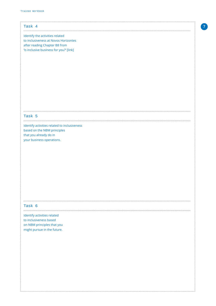| Task 4                                       |  |
|----------------------------------------------|--|
|                                              |  |
|                                              |  |
| Identify the activities related              |  |
| to inclusiveness at Novos Horizontes         |  |
| after reading Chapter B8 from                |  |
|                                              |  |
| 'Is inclusive business for you?' [link]      |  |
|                                              |  |
|                                              |  |
|                                              |  |
|                                              |  |
|                                              |  |
|                                              |  |
|                                              |  |
|                                              |  |
|                                              |  |
|                                              |  |
|                                              |  |
|                                              |  |
|                                              |  |
|                                              |  |
|                                              |  |
|                                              |  |
|                                              |  |
| Task 5                                       |  |
|                                              |  |
|                                              |  |
| Identify activities related to inclusiveness |  |
| based on the NBM principles                  |  |
| that you already do in                       |  |
|                                              |  |
| your business operations.                    |  |
|                                              |  |
|                                              |  |
|                                              |  |
|                                              |  |
|                                              |  |
|                                              |  |
|                                              |  |
|                                              |  |
|                                              |  |
|                                              |  |
|                                              |  |
|                                              |  |
|                                              |  |
|                                              |  |
|                                              |  |
|                                              |  |
|                                              |  |
| Task 6                                       |  |
|                                              |  |
| Identify activities related                  |  |
|                                              |  |
| to inclusiveness based                       |  |
| on NBM principles that you                   |  |
| might pursue in the future.                  |  |
|                                              |  |
|                                              |  |
|                                              |  |
|                                              |  |
|                                              |  |
|                                              |  |
|                                              |  |
|                                              |  |
|                                              |  |
|                                              |  |
|                                              |  |
|                                              |  |
|                                              |  |
|                                              |  |
|                                              |  |
|                                              |  |
|                                              |  |
|                                              |  |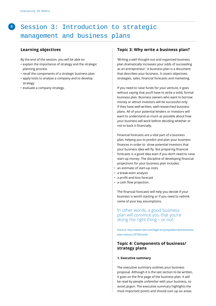## **<sup>8</sup>** Session 3: Introduction to strategic management and business plans

#### **Learning objectives**

By the end of the session, you will be able to:

- explain the importance of strategy and the strategic planning process
- recall the components of a strategic business plan
- apply tools to analyse a company and to develop strategy
- evaluate a company strategy.

#### **Topic 3: Why write a business plan?**

'Writing a well thought-out and organized business plan dramatically increases your odds of succeeding as an entrepreneur.' A business plan is a document that describes your business. It covers objectives, strategies, sales, financial forecasts and marketing.

 If you need to raise funds for your venture, it goes without saying that you'll have to write a solid, formal business plan. Business owners who want to borrow money or attract investors will be successful only if they have well-written, well-researched business plans. All of your potential lenders or investors will want to understand as much as possible about how your business will work before deciding whether or not to back it financially.

 Financial forecasts are a vital part of a business plan, helping you to predict and plan your business finances in order to show potential investors that your business idea will fly. But preparing financial forecasts is a good idea even if you don't need to raise start-up money. The discipline of developing financial projections for your business plan includes:

- an estimate of start-up costs
- a break-even analysis
- a profit-and-loss forecast
- a cash flow projection.

The financial forecasts will help you decide if your business is worth starting or if you need to rethink some of your key assumptions.

 In other words, a good business plan will convince you that you're doing the right thing – or not.

 [\(Source: http://www.nolo.com/legal-encyclopedia/need-business](http://www.nolo.com/legal-encyclopedia/need-business-plan-reasons-29758.html)[plan-reasons-29758.html\)](http://www.nolo.com/legal-encyclopedia/need-business-plan-reasons-29758.html)

#### **Topic 4: Components of business/ strategy plans**

#### **1. Executive summary**

The executive summary outlines your business proposal. Although it is the last section to be written, it goes on the first page of the business plan. It will be read by people unfamiliar with your business, so avoid jargon. The executive summary highlights the most important points and should sum up six areas.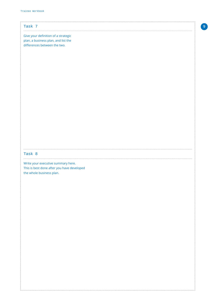| Task 7<br>Give your definition of a strategic<br>plan, a business plan, and list the<br>differences between the two.<br>Task 8<br>Write your executive summary here.<br>This is best done after you have developed<br>the whole business plan. |
|------------------------------------------------------------------------------------------------------------------------------------------------------------------------------------------------------------------------------------------------|
|                                                                                                                                                                                                                                                |
|                                                                                                                                                                                                                                                |
|                                                                                                                                                                                                                                                |
|                                                                                                                                                                                                                                                |
|                                                                                                                                                                                                                                                |
|                                                                                                                                                                                                                                                |
|                                                                                                                                                                                                                                                |
|                                                                                                                                                                                                                                                |
|                                                                                                                                                                                                                                                |
|                                                                                                                                                                                                                                                |
|                                                                                                                                                                                                                                                |
|                                                                                                                                                                                                                                                |
|                                                                                                                                                                                                                                                |
|                                                                                                                                                                                                                                                |
|                                                                                                                                                                                                                                                |
|                                                                                                                                                                                                                                                |
|                                                                                                                                                                                                                                                |
|                                                                                                                                                                                                                                                |
|                                                                                                                                                                                                                                                |
|                                                                                                                                                                                                                                                |
|                                                                                                                                                                                                                                                |
|                                                                                                                                                                                                                                                |
|                                                                                                                                                                                                                                                |
|                                                                                                                                                                                                                                                |
|                                                                                                                                                                                                                                                |
|                                                                                                                                                                                                                                                |
|                                                                                                                                                                                                                                                |
|                                                                                                                                                                                                                                                |
|                                                                                                                                                                                                                                                |
|                                                                                                                                                                                                                                                |
|                                                                                                                                                                                                                                                |
|                                                                                                                                                                                                                                                |
|                                                                                                                                                                                                                                                |
|                                                                                                                                                                                                                                                |
|                                                                                                                                                                                                                                                |
|                                                                                                                                                                                                                                                |
|                                                                                                                                                                                                                                                |
|                                                                                                                                                                                                                                                |
|                                                                                                                                                                                                                                                |
|                                                                                                                                                                                                                                                |
|                                                                                                                                                                                                                                                |
|                                                                                                                                                                                                                                                |
|                                                                                                                                                                                                                                                |
|                                                                                                                                                                                                                                                |
|                                                                                                                                                                                                                                                |
|                                                                                                                                                                                                                                                |
|                                                                                                                                                                                                                                                |
|                                                                                                                                                                                                                                                |
|                                                                                                                                                                                                                                                |
|                                                                                                                                                                                                                                                |
|                                                                                                                                                                                                                                                |
|                                                                                                                                                                                                                                                |
|                                                                                                                                                                                                                                                |
|                                                                                                                                                                                                                                                |

 $\overline{9}$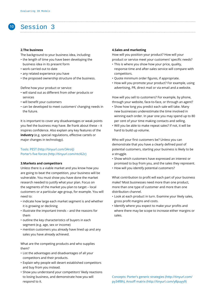## Session 3

#### **2.The business**

**10**

The background to your business idea, including:

- the length of time you have been developing the business idea in its present form
- work carried out to date
- any related experience you have
- the proposed ownership structure of the business.

Define how your product or service:

- will stand out as different from other products or services
- will benefit your customers
- can be developed to meet customers' changing needs in the future.

It is important to cover any disadvantages or weak points you feel the business may have. Be frank about these – it inspires confidence. Also explain any key features of the **industry** (e.g. special regulations, effective cartels or major changes in technology).

### Tools[: PEST \(http://tinyurl.com/34rolj\)](http://tinyurl.com/34rolj)

[Porter's five forces \(http://tinyurl.com/ntcl62c\)](http://tinyurl.com/ntcl62c) 

#### **3.Markets and competitors**

Unless there is a viable market and you know how you are going to beat the competition, your business will be vulnerable. You must show you have done the market research needed to justify what your plan. Focus on the segments of the market you plan to target – local customers or a particular age group, for example. You will need to:

- indicate how large each market segment is and whether it is growing or declining
- illustrate the important trends and the reasons for them
- outline the key characteristics of buyers in each segment (e.g. age, sex or income)
- mention customers you already have lined up and any sales you have already achieved.

What are the competing products and who supplies them?

- List the advantages and disadvantages of all your competitors and their products.
- Explain why people will desert established competitors and buy from you instead.
- Show you understand your competitors' likely reactions to losing business, and demonstrate how you will respond to it.

#### **4.Sales and marketing**

How will you position your product? How will your product or service meet your customers' specific needs?

- This is where you show how your price, quality, response time and after-sales service will compare with competitors.
- Quote minimum order figures, if appropriate.
- How will you promote your product? For example, using advertising, PR, direct mail or via email and a website.

How will you sell to customers? For example, by phone, through your website, face-to-face, or through an agent?

- Show how long you predict each sale will take. Many new businesses underestimate the time involved in winning each order. In year one you may spend up to 80 per cent of your time making contacts and selling.
- Will you be able to make repeat sales? If not, it will be hard to build up volume.

Who will your first customers be? Unless you can demonstrate that you have a clearly defined pool of potential customers, starting your business is likely to be a struggle.

- Show which customers have expressed an interest or promised to buy from you, and the sales they represent.
- How will you identify potential customers?

What contribution to profit will each part of your business make? Most businesses need more than one product, more than one type of customer and more than one distribution channel.

- Look at each product in turn. Examine your likely sales, gross profit margins and costs.
- Identify where you expect to make your profits and where there may be scope to increase either margins or sales.

Concepts: [Porter's generic strategies \(http://tinyurl.com/](http://tinyurl.com/py34f8h) [py34f8h\),](http://tinyurl.com/py34f8h) [Ansoff matrix \(http://tinyurl.com/y8puyy9\)](http://tinyurl.com/y8puyy9)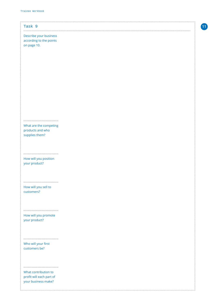| Task 9                   |
|--------------------------|
| Describe your business   |
| according to the points  |
| on page 10.              |
|                          |
|                          |
|                          |
|                          |
|                          |
|                          |
|                          |
|                          |
|                          |
|                          |
|                          |
|                          |
|                          |
|                          |
| What are the competing   |
| products and who         |
| supplies them?           |
|                          |
|                          |
|                          |
| How will you position    |
| your product?            |
|                          |
|                          |
|                          |
|                          |
| How will you sell to     |
| customers?               |
|                          |
|                          |
|                          |
| How will you promote     |
| your product?            |
|                          |
|                          |
|                          |
| Who will your first      |
| customers be?            |
|                          |
|                          |
|                          |
|                          |
| What contribution to     |
| profit will each part of |
| your business make?      |
|                          |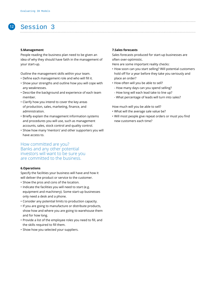## Session 3

#### **5.Management**

**12**

People reading the business plan need to be given an idea of why they should have faith in the management of your start-up.

Outline the management skills within your team.

- Define each management role and who will fill it.
- Show your strengths and outline how you will cope with any weaknesses.
- Describe the background and experience of each team member.
- Clarify how you intend to cover the key areas of production, sales, marketing, finance, and administration.
- Briefly explain the management information systems and procedures you will use, such as management accounts, sales, stock control and quality control.
- Show how many 'mentors' and other supporters you will have access to.

How committed are you? Banks and any other potential investors will want to be sure you are committed to the business.

#### **6.Operations**

Specify the facilities your business will have and how it will deliver the product or service to the customer.

- Show the pros and cons of the location.
- Indicate the facilities you will need to start (e.g. equipment and machinery). Some start-up businesses only need a desk and a phone.
- Consider any potential limits to production capacity.
- If you are going to manufacture or distribute products, show how and where you are going to warehouse them and for how long.
- Provide a list of the employee roles you need to fill, and the skills required to fill them.
- Show how you selected your suppliers.

#### **7.Sales forecasts**

Sales forecasts produced for start-up businesses are often over-optimistic.

Here are some important reality checks:

- How soon can you start selling? Will potential customers hold off for a year before they take you seriously and place an order?
- How often will you be able to sell?
- How many days can you spend selling?
- How long will each lead take to line up?
- What percentage of leads will turn into sales?

How much will you be able to sell?

- What will the average sale value be?
- Will most people give repeat orders or must you find new customers each time?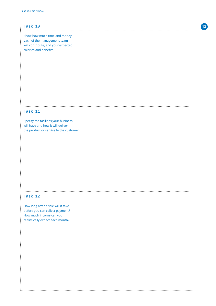| Task 10                                                     |
|-------------------------------------------------------------|
|                                                             |
| Show how much time and money<br>each of the management team |
| will contribute, and your expected                          |
| salaries and benefits.                                      |
|                                                             |
|                                                             |
|                                                             |
|                                                             |
|                                                             |
|                                                             |
|                                                             |
|                                                             |
|                                                             |
|                                                             |
|                                                             |
|                                                             |
| <b>Task 11</b>                                              |
| Specify the facilities your business                        |
| will have and how it will deliver                           |
| the product or service to the customer.                     |
|                                                             |
|                                                             |
|                                                             |
|                                                             |
|                                                             |
|                                                             |
|                                                             |
|                                                             |
|                                                             |
|                                                             |
|                                                             |
|                                                             |
| Task 12                                                     |
|                                                             |
| How long after a sale will it take                          |
| before you can collect payment?                             |
| How much income can you                                     |
| realistically expect each month?                            |
|                                                             |
|                                                             |
|                                                             |
|                                                             |
|                                                             |
|                                                             |
|                                                             |
|                                                             |
|                                                             |
|                                                             |
|                                                             |
|                                                             |
|                                                             |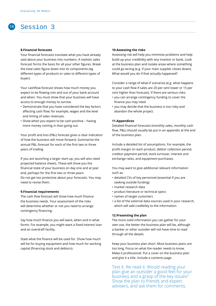## Session 3

**14**

#### **8.Financial forecasts**

Your financial forecasts translate what you have already said about your business into numbers. A realistic sales forecast forms the basis for all your other figures. Break the total sales figure down into its components (eg different types of products or sales to different types of buyer).

Your cashflow forecast shows how much money you expect to be flowing into and out of your bank account and when. You must show that your business will have access to enough money to survive.

- Demonstrate that you have considered the key factors affecting cash flow; for example, wages and the level and timing of sales revenues.
- Show when you expect to be cash-positive having more money coming in than going out.

Your profit and loss (P&L) forecast gives a clear indication of how the business will move forward. Summarise the annual P&L forecast for each of the first two or three years of trading.

If you are launching a larger start-up, you will also need projected balance sheets. These will show you the financial state of your business on day one and at year end, perhaps for the first two or three years. Do not get too protective about your forecasts. You may need to revise them.

#### **9.Financial requirements**

The cash flow forecast will show how much finance the business needs. Your assessment of the risks will determine whether or not you need to arrange contingency financing.

Say how much finance you will want, when and in what forms. For example, you might want a fixed-interest loan and an overdraft facility.

State what the finance will be used for. Show how much will be for buying equipment and how much for working capital (financing stock and debtors).

#### **10.Assessing the risks**

Assessing risk will help you minimise problems and help build up your credibility with any investor or bank. Look at the business plan and isolate areas where something could go wrong (e.g. if your main supplier closes down). What would you do if that actually happened?

Consider a range of what-if scenarios (e.g. what happens to your cash flow if sales are 20 per cent lower or 15 per cent higher than forecast). If there are serious risks:

- you can arrange contingency funding to cover the finance you may need
- you may decide that the business is too risky and abandon the whole project.

#### **11.Appendices**

Detailed financial forecasts (monthly sales, monthly cash flow, P&L) should usually be put in an appendix at the end of the business plan.

Include a detailed list of assumptions. For example, the profit margin on each product, debtor collection period, creditor payment period, stock turnover, interest and exchange rates, and equipment purchases.

You may want to give additional relevant information such as:

- detailed CVs of key personnel (essential if you are seeking outside funding)
- market research data
- product literature or technical specs
- names of target customers
- a list of the external data sources used in your research, which will add credibility to the information.

#### **12.Presenting the plan**

The more solid information you can gather for your own use, the better the business plan will be, although a banker or other outsider will not have time to read through all the details.

Keep your business plan short. Most business plans are too long. Focus on what the reader needs to know. Make it professional. Put a cover on the business plan and give it a title. Include a contents page.

Test it. Re-read it. Would reading your plan give an outsider a good feel for your business and a grasp of the key issues? Show the plan to friends and expert advisers, and ask them for comments.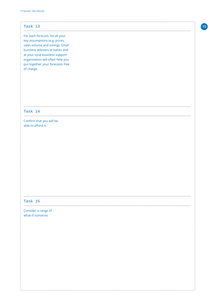| Task 13                          |
|----------------------------------|
|                                  |
|                                  |
| For each forecast, list all your |
| key assumptions (e.g. prices,    |
| sales volume and timing). Small  |
| business advisers at banks and   |
| at your local business support   |
| organisation will often help you |
| put together your forecasts free |
| of charge.                       |
|                                  |
|                                  |
|                                  |
|                                  |
|                                  |
|                                  |
|                                  |
|                                  |
|                                  |
| Task 14                          |
|                                  |
| Confirm that you will be         |
| able to afford it.               |
|                                  |
|                                  |
|                                  |
|                                  |
|                                  |
|                                  |
|                                  |
|                                  |
|                                  |
|                                  |
|                                  |
|                                  |
|                                  |
|                                  |
|                                  |
|                                  |
|                                  |
| Task 15                          |
|                                  |
| Consider a range of              |
| what-if scenarios                |
|                                  |
|                                  |
|                                  |
|                                  |
|                                  |
|                                  |
|                                  |
|                                  |
|                                  |
|                                  |
|                                  |
|                                  |
|                                  |
|                                  |
|                                  |
|                                  |
|                                  |
|                                  |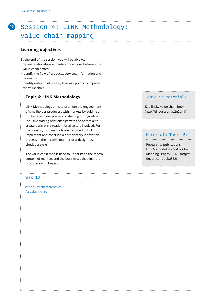## Session 4: LINK Methodology: value chain mapping

#### **Learning objectives**

By the end of the session, you will be able to:

- define relationships and interconnections between the value chain actors
- identify the flow of products, services, information and payments
- identify entry points or key leverage points to improve the value chain.

#### **Topic 6: LINK Methodology**

 LINK Methodology aims to promote the engagement of smallholder producers with markets by guiding a multi-stakeholder process of shaping or upgrading inclusive trading relationships with the potential to create a win-win situation for all actors involved. For that reason, four key tools are designed to kick off, implement and conclude a participatory innovation process in the iterative manner of a 'design-testcheck-act cycle'.

 The value chain map is used to understand the macro context of markets and the businesses that link rural producers with buyers.

#### Task 16

List the key characteristics of a value chain.

#### Topic 5: Materials ..........................................

[Kapilinsky value chain book:](http://tinyurl.com/p2n2gmf)  [\(http://tinyurl.com/p2n2gmf\)](http://tinyurl.com/p2n2gmf)

Materials Task 16: ........................................

Research & publications: Link Methodology: Value Chain Mapping , Pages 31-43 [\(http://](http://tinyurl.com/peba832) [tinyurl.com/peba832\)](http://tinyurl.com/peba832) 

....................................................................................................................................................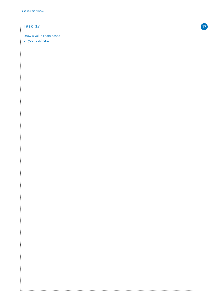## $\begin{minipage}{0.5\textwidth} \centering \begin{tabular}{|c|c|c|c|} \hline \text{max} & \text{max} & \text{max} \\ \hline \text{max} & \text{max} & \text{max} \\ \hline \text{max} & \text{max} & \text{max} \\ \hline \end{tabular} \end{minipage}$ Task 17

 $\frac{1}{2}$ 

:<br>:<br>:<br>:

#### Draw a value chain based

on your business.

......................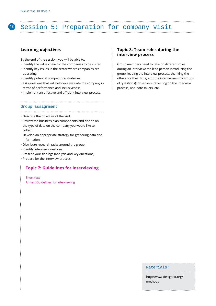## **<sup>18</sup>** Session 5: Preparation for company visit

#### **Learning objectives**

By the end of the session, you will be able to:

- identify the value chain for the companies to be visited
- identify key issues in the sector where companies are operating
- identify potential competitors/strategies
- ask questions that will help you evaluate the company in terms of performance and inclusiveness
- implement an effective and efficient interview process.

#### Group assignment

..........................................................................

..........................................................................

- Describe the objective of the visit.
- Review the business plan components and decide on the type of data on the company you would like to collect.
- Develop an appropriate strategy for gathering data and information.
- Distribute research tasks around the group.
- Identify interview questions.

 $\vdots$ 

- Present your findings (analysis and key questions).
- Prepare for the interview process.

#### **Topic 7: Guidelines for interviewing**

Short text Annex: Guidelines for interviewing

#### **Topic 8: Team roles during the interview process**

Group members need to take on different roles during an interview: the lead person introducing the group, leading the interview process, thanking the others for their time, etc.; the interviewers (by groups of questions); observers (reflecting on the interview process) and note-takers, etc.

#### Materials:

[http://www.designkit.org/](http://www.designkit.org/methods) [methods](http://www.designkit.org/methods)

........................................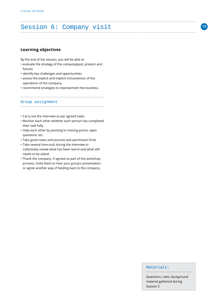## Session 6: Company visit

#### **Learning objectives**

By the end of the session, you will be able to

- evaluate the strategy of the company(past, present and future)
- identify key challenges and opportunities
- assess the explicit and implicit inclusiveness of the operations of the company.
- recommend strategies to improvement the business.

..........................................................................

Group assignment

### ..........................................................................

- Carry out the interview as per agreed tasks.
- Monitor each other whether each person has completed their task fully.
- Help each other by pointing to missing points, open questions, etc.
- Take good notes and pictures (ask permission first).
- Take several time-outs during the interview to collectively review what has been learnt and what still needs to be asked.
- Thank the company. If agreed as part of the workshop process, invite them to hear your group's presentation or agree another way of feeding back to the company..

#### Materials:

Questions, roles, background material gathered during  $\frac{1}{2}$  Session 5

........................................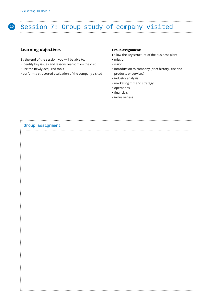# **<sup>20</sup>** Session 7: Group study of company visited

#### **Learning objectives**

By the end of the session, you will be able to:

- identify key issues and lessons learnt from the visit
- use the newly-acquired tools
- perform a structured evaluation of the company visited

#### **Group assignment:**

Follow the key structure of the business plan:

- mission
- vision
- introduction to company (brief history, size and products or services)
- industry analysis
- marketing mix and strategy
- operations
- financials
- inclusiveness

| Group assignment |  |
|------------------|--|
|                  |  |
|                  |  |
|                  |  |
|                  |  |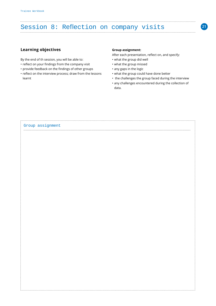# Session 8: Reflection on company visits

#### **Learning objectives**

By the end of th session, you will be able to:

- reflect on your findings from the company visit
- provide feedback on the findings of other groups
- reflect on the interview process; draw from the lessons learnt

#### **Group assignment:**

After each presentation, reflect on, and specify:

- what the group did well
- what the group missed
- any gaps in the logic
- what the group could have done better
- the challenges the group faced during the interview
- any challenges encountered during the collection of data.

| Group assignment |  |
|------------------|--|
|                  |  |
|                  |  |
|                  |  |
|                  |  |
|                  |  |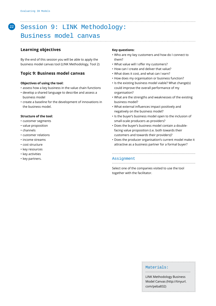## **<sup>22</sup>** Session 9: LINK Methodology:

## Business model canvas

#### **Learning objectives**

By the end of this session you will be able to apply the business model canvas tool (LINK Methodology, Tool 2)

#### **Topic 9: Business model canvas**

#### **Objectives of using the tool:**

- assess how a key business in the value chain functions
- develop a shared language to describe and assess a business model
- create a baseline for the development of innovations in the business model.

#### **Structure of the tool:**

- customer segments
- value proposition
- channels
- customer relations
- income streams
- cost structure
- key resources
- key activities
- key partners.

#### **Key questions:**

- Who are my key customers and how do I connect to them?
- What value will I offer my customers?
- How can I create and deliver that value?
- What does it cost, and what can I earn?
- How does my organisation or business function?
- Is the existing business model viable? What change(s) could improve the overall performance of my organisation?
- What are the strengths and weaknesses of the existing business model?
- What external influences impact positively and negatively on the business model?
- Is the buyer's business model open to the inclusion of small-scale producers as providers?
- Does the buyer's business model contain a doublefacing value proposition (i.e. both towards their customers and towards their providers)?
- Does the producer organisation's current model make it attractive as a business partner for a formal buyer?

..........................................................................

#### Assignment

Select one of the companies visited to use the tool together with the facilitator.

#### Materials:

LINK Methodology Business Model Canvas [\(http://tinyurl.](http://tinyurl.com/peba832) [com/peba832\)](http://tinyurl.com/peba832)

........................................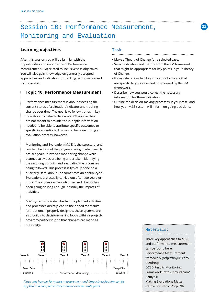## Session 10: Performance Measurement, Monitoring and Evaluation

#### **Learning objectives**

After this session you will be familiar with the opportunities and importance of Performance Measurement (PM) related to inclusiveness objectives. You will also gain knowledge on generally accepted approaches and indicators for tracking performance and inclusiveness.

#### **Topic 10: Performance Measurement**

 Performance measurement is about assessing the current status of a situation/indicator and tracking change over time. The goal is to follow trends in key indicators in cost-effective ways. PM approaches are not meant to provide the in-depth information needed to be able to attribute specific outcomes to specific interventions. This would be done during an evaluation process, however.

 Monitoring and Evaluation (M&E) is the structural and regular checking of the progress being made towards pre-set goals. It involves monitoring change while planned activities are being undertaken, identifying the resulting outputs, and evaluating the processes being followed. This process is typically done on a quarterly, semi-annual, or sometimes an annual cycle. Evaluations are usually carried out after two years or more. They focus on the outcomes and, if work has been going on long enough, possibly the impacts of activities.

 M&E systems indicate whether the planned activities and processes directly lead to the hoped for results (attribution). If properly designed, these systems are also built into decision-making loops within a project/ program/partnership so that changes are made as necessary.



*illustrates how performance measurement and (impact) evaluation can be applied in a complementary manner over multiple years.*

#### Task

- Make a Theory of Change for a selected case.
- Select indicators and metrics from the PM framework that might be appropriate for key points in your Theory of Change.

..........................................................................

**23**

- Formulate one or two key indicators for topics that are specific to your case and not covered by the PM framework.
- Describe how you would collect the necessary information for three indicators.
- Outline the decision-making processes in your case, and how your M&E system will inform on-going decisions.

#### Materials:

........................................

Three key approaches to M&E and performance measurement can be found here: [Performance Measurement](http://tinyurl.com/oo9dreq)  [framework \(http://tinyurl.com/](http://tinyurl.com/oo9dreq) [oo9dreq\)](http://tinyurl.com/oo9dreq) [DCED Results Monitoring](http://tinyurl.com/p7my54)  [Framework \(http://tinyurl.com/](http://tinyurl.com/p7my54) [p7my54\)](http://tinyurl.com/p7my54) [Making Evaluations Matter](http://tinyurl.com/orj239l) [\(http://tinyurl.com/orj239l\)](http://tinyurl.com/orj239l)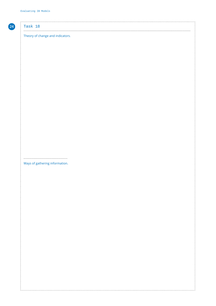#### Task 18

#### Theory of change and indicators.

Ways of gathering information.

 $\ddot{\cdot}$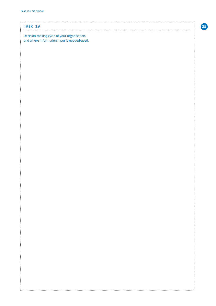$\vdots$ 

### Task 19 ....................................................................................................................................................

Decision-making cycle of your organisation, and where information input is needed/used.